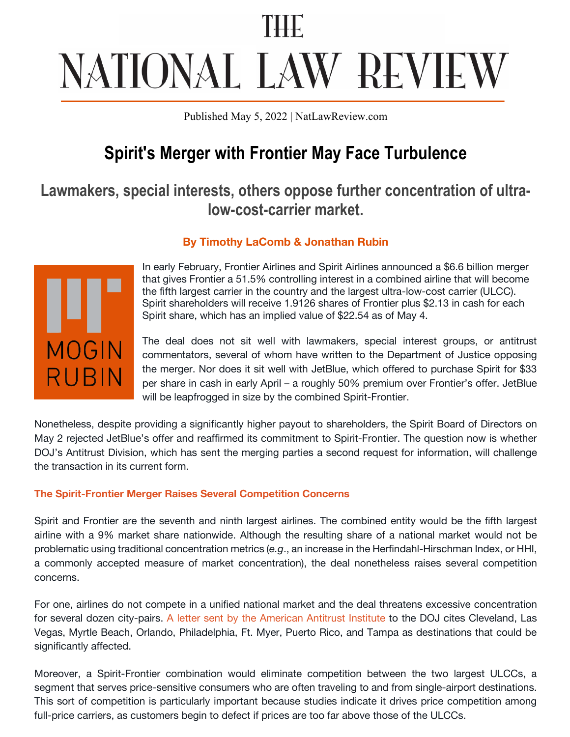# NATIONAL LAW REVIEW

Published May 5, 2022 | NatLawReview.com

# **Spirit's Merger with Frontier May Face Turbulence**

# **Lawmakers, special interests, others oppose further concentration of ultralow-cost-carrier market.**

## **By Timothy LaComb & Jonathan Rubin**



In early February, Frontier Airlines and Spirit Airlines announced a \$6.6 billion merger that gives Frontier a 51.5% controlling interest in a combined airline that will become the fifth largest carrier in the country and the largest ultra-low-cost carrier (ULCC). Spirit shareholders will receive 1.9126 shares of Frontier plus \$2.13 in cash for each Spirit share, which has an implied value of \$22.54 as of May 4.

The deal does not sit well with lawmakers, special interest groups, or antitrust commentators, several of whom have written to the Department of Justice opposing the merger. Nor does it sit well with JetBlue, which offered to purchase Spirit for \$33 per share in cash in early April – a roughly 50% premium over Frontier's offer. JetBlue will be leapfrogged in size by the combined Spirit-Frontier.

Nonetheless, despite providing a significantly higher payout to shareholders, the Spirit Board of Directors on May 2 rejected JetBlue's offer and reaffirmed its commitment to Spirit-Frontier. The question now is whether DOJ's Antitrust Division, which has sent the merging parties a second request for information, will challenge the transaction in its current form.

### **The Spirit-Frontier Merger Raises Several Competition Concerns**

Spirit and Frontier are the seventh and ninth largest airlines. The combined entity would be the fifth largest airline with a 9% market share nationwide. Although the resulting share of a national market would not be problematic using traditional concentration metrics (*e.g*., an increase in the Herfindahl-Hirschman Index, or HHI, a commonly accepted measure of market concentration), the deal nonetheless raises several competition concerns.

For one, airlines do not compete in a unified national market and the deal threatens excessive concentration for several dozen city-pairs. A letter sent by the American Antitrust Institute to the DOJ cites Cleveland, Las Vegas, Myrtle Beach, Orlando, Philadelphia, Ft. Myer, Puerto Rico, and Tampa as destinations that could be significantly affected.

Moreover, a Spirit-Frontier combination would eliminate competition between the two largest ULCCs, a segment that serves price-sensitive consumers who are often traveling to and from single-airport destinations. This sort of competition is particularly important because studies indicate it drives price competition among full-price carriers, as customers begin to defect if prices are too far above those of the ULCCs.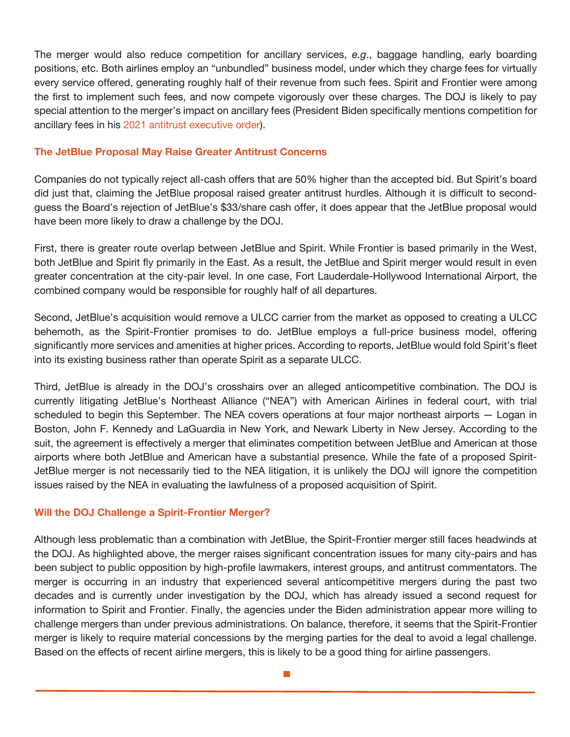The merger would also reduce competition for ancillary services, *e.g*., baggage handling, early boarding positions, etc. Both airlines employ an "unbundled" business model, under which they charge fees for virtually every service offered, generating roughly half of their revenue from such fees. Spirit and Frontier were among the first to implement such fees, and now compete vigorously over these charges. The DOJ is likely to pay special attention to the merger's impact on ancillary fees (President Biden specifically mentions competition for ancillary fees in his 2021 antitrust executive order).

#### **The JetBlue Proposal May Raise Greater Antitrust Concerns**

Companies do not typically reject all-cash offers that are 50% higher than the accepted bid. But Spirit's board did just that, claiming the JetBlue proposal raised greater antitrust hurdles. Although it is difficult to secondguess the Board's rejection of JetBlue's \$33/share cash offer, it does appear that the JetBlue proposal would have been more likely to draw a challenge by the DOJ.

First, there is greater route overlap between JetBlue and Spirit. While Frontier is based primarily in the West, both JetBlue and Spirit fly primarily in the East. As a result, the JetBlue and Spirit merger would result in even greater concentration at the city-pair level. In one case, Fort Lauderdale-Hollywood International Airport, the combined company would be responsible for roughly half of all departures.

Second, JetBlue's acquisition would remove a ULCC carrier from the market as opposed to creating a ULCC behemoth, as the Spirit-Frontier promises to do. JetBlue employs a full-price business model, offering significantly more services and amenities at higher prices. According to reports, JetBlue would fold Spirit's fleet into its existing business rather than operate Spirit as a separate ULCC.

Third, JetBlue is already in the DOJ's crosshairs over an alleged anticompetitive combination. The DOJ is currently litigating JetBlue's Northeast Alliance ("NEA") with American Airlines in federal court, with trial scheduled to begin this September. The NEA covers operations at four major northeast airports — Logan in Boston, John F. Kennedy and LaGuardia in New York, and Newark Liberty in New Jersey. According to the suit, the agreement is effectively a merger that eliminates competition between JetBlue and American at those airports where both JetBlue and American have a substantial presence. While the fate of a proposed Spirit-JetBlue merger is not necessarily tied to the NEA litigation, it is unlikely the DOJ will ignore the competition issues raised by the NEA in evaluating the lawfulness of a proposed acquisition of Spirit.

#### **Will the DOJ Challenge a Spirit-Frontier Merger?**

Although less problematic than a combination with JetBlue, the Spirit-Frontier merger still faces headwinds at the DOJ. As highlighted above, the merger raises significant concentration issues for many city-pairs and has been subject to public opposition by high-profile lawmakers, interest groups, and antitrust commentators. The merger is occurring in an industry that experienced several anticompetitive mergers during the past two decades and is currently under investigation by the DOJ, which has already issued a second request for information to Spirit and Frontier. Finally, the agencies under the Biden administration appear more willing to challenge mergers than under previous administrations. On balance, therefore, it seems that the Spirit-Frontier merger is likely to require material concessions by the merging parties for the deal to avoid a legal challenge. Based on the effects of recent airline mergers, this is likely to be a good thing for airline passengers.